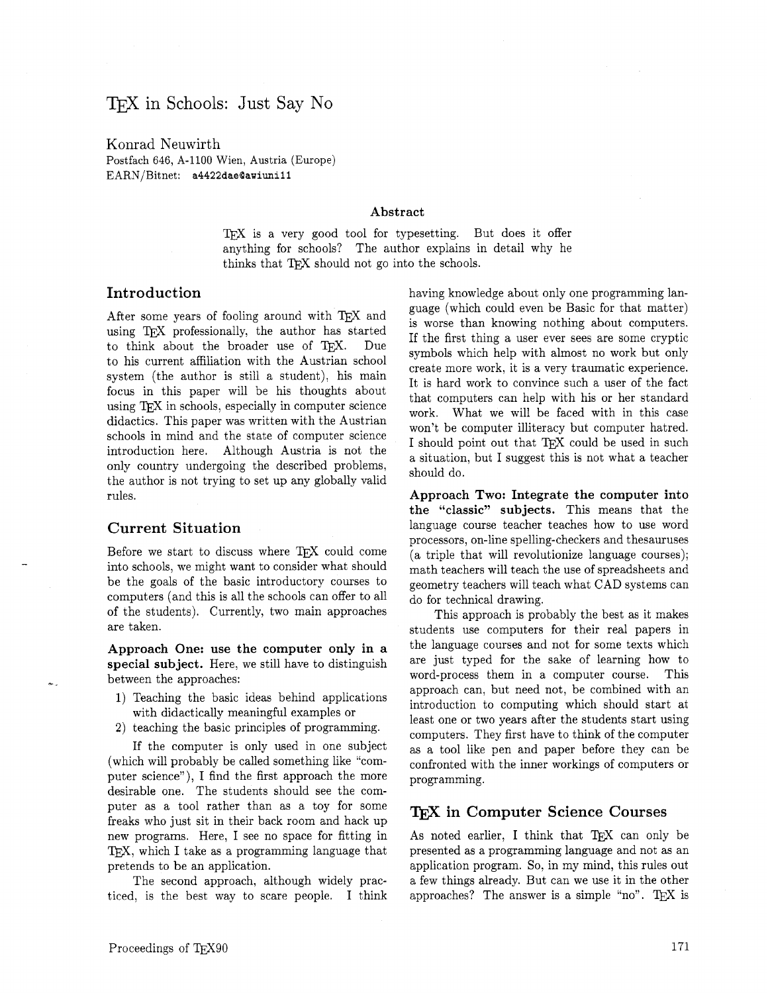# TFX in Schools: Just Say No

Konrad Neuwirth Postfach 646, A-1100 Wien, Austria (Europe) EARN/Bitnet: **a4422daeQawiuni 1** I

#### Abstract

T<sub>F</sub>X is a very good tool for typesetting. But does it offer anything for schools? The author explains in detail why he thinks that TEX should not go into the schools.

### Introduction

After some years of fooling around with TEX and using TFX professionally, the author has started to think about the broader use of TEX. Due to his current affiliation with the Austrian school system (the author is still a student), his main focus in this paper will be his thoughts about using TEX in schools, especially in computer science didactics. This paper was written with the Austrian schools in mind and the state of computer science introduction here. Although Austria is not the only country undergoing the described problems, the author is not trying to set up any globally valid rules.

#### Current Situation

Before we start to discuss where TFX could come into schools, we might want to consider what should be the goals of the basic introductory courses to computers (and this is all the schools can offer to all of the students). Currently, two main approaches are taken.

Approach One: use the computer only in a special subject. Here, we still have to distinguish between the approaches:

- 1) Teaching the basic ideas behind applications with didactically meaningful examples or
- **2)** teaching the basic principles of programming.

If the computer is only used in one subject (which will probably be called something like "computer science"), I find the first approach the more desirable one. The students should see the computer as a tool rather than as a toy for some freaks who just sit in their back room and hack up new programs. Here, I see no space for fitting in  $TFX$ , which I take as a programming language that pretends to be an application.

The second approach, although widely practiced, is the best way to scare people. I think having knowledge about only one programming language (which could even be Basic for that matter) is worse than knowing nothing about computers. If the first thing a user ever sees are some cryptic symbols which help with almost no work but only create more work, it is a very traumatic experience. It is hard work to convince such a user of the fact that computers can help with his or her standard work. What we will be faced with in this case won't be computer illiteracy but computer hatred. I should point out that TFX could be used in such a situation, but I suggest this is not what a teacher should do.

Approach Two: Integrate the computer into the "classic" subjects. This means that the language course teacher teaches how to use word processors, on-line spelling-checkers and thesauruses (a triple that will revolutionize language courses); math teachers will teach the use of spreadsheets and geometry teachers will teach what CAD systems can do for technical drawing.

This approach is probably the best as it makes students use computers for their real papers in the language courses and not for some texts which are just typed for the sake of learning how to word-process them in a computer course. This approach can, but need not, be combined with an introduction to computing which should start at least one or two years after the students start using computers. They first have to think of the computer as a tool like pen and paper before they can be confronted with the inner workings of computers or programming.

### in Computer Science Courses

As noted earlier, I think that TFX can only be presented as a programming language and not as an application program. So, in my mind, this rules out a few things already. But can we use it in the other approaches? The answer is a simple "no". TEX is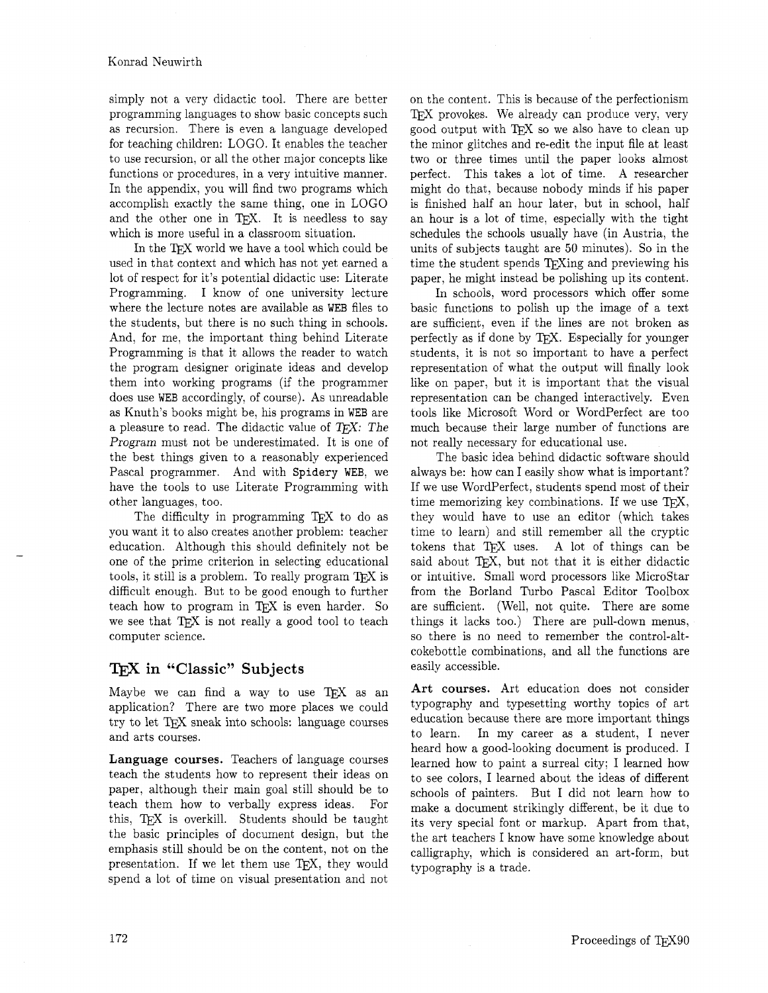simply not a very didactic tool. There are better programming languages to show basic concepts such as recursion. There is even a language developed for teaching children: LOGO. It enables the teacher to use recursion, or all the other major concepts like functions or procedures, in a very intuitive manner. In the appendix, you will find two programs which accomplish exactly the same thing, one in LOGO and the other one in T<sub>E</sub>X. It is needless to say which is more useful in a classroom situation.

In the TFX world we have a tool which could be used in that context and which has not yet earned a lot of respect for it's potential didactic use: Literate Programming. I know of one university lecture where the lecture notes are available as WEB files to the students, but there is no such thing in schools. And, for me, the important thing behind Literate Programming is that it allows the reader to watch the program designer originate ideas and develop them into working programs (if the programmer does use WEB accordingly, of course). As unreadable as Knuth's books might be, his programs in WEB are a pleasure to read. The didactic value of  $T_F X$ : The Program must not be underestimated. It is one of the best things given to a reasonably experienced Pascal programmer. And with Spidery WEB, we have the tools to use Literate Programming with other languages, too.

The difficulty in programming T<sub>F</sub>X to do as you want it to also creates another problem: teacher education. Although this should definitely not be one of the prime criterion in selecting educational tools, it still is a problem. To really program  $T_{E}X$  is difficult enough. But to be good enough to further teach how to program in TFX is even harder. So we see that TEX is not really a good tool to teach computer science.

## in "Classic" **Subjects**

Maybe we can find a way to use  $TFX$  as an application? There are two more places we could try to let TFX sneak into schools: language courses and arts courses.

**Language courses.** Teachers of language courses teach the students how to represent their ideas on paper, although their main goal still should be to teach them how to verbally express ideas. For this, TEX is overkill. Students should be taught the basic principles of document design, but the emphasis still should be on the content, not on the presentation. If we let them use  $TFX$ , they would spend a lot of time on visual presentation and not on the content. This is because of the perfectionism TFX provokes. We already can produce very, very good output with  $T_{F}X$  so we also have to clean up the minor glitches and re-edit the input file at least two or three times until the paper looks almost perfect. This takes a lot of time. A researcher might do that, because nobody minds if his paper is finished half an hour later, but in school, half an hour is a lot of time, especially with the tight schedules the schools usually have (in Austria, the units of subjects taught are 50 minutes). So in the time the student spends TEXing and previewing his paper, he might instead be polishing up its content.

In schools, word processors which offer some basic functions to polish up the image of a text are sufficient, even if the lines are not broken as perfectly as if done by TEX. Especially for younger students, it is not so important to have a perfect representation of what the output will finally look like on paper, but it is important that the visual representation can be changed interactively. Even tools like Microsoft Word or WordPerfect are too much because their large number of functions are not really necessary for educational use.

The basic idea behind didactic software should always be: how can I easily show what is important? If we use WordPerfect, students spend most of their time memorizing key combinations. If we use  $T_F X$ , they would have to use an editor (which takes time to learn) and still remember all the cryptic tokens that  $TrX$  uses. A lot of things can be said about TEX, but not that it is either didactic or intuitive. Small word processors like MicroStar from the Borland Turbo Pascal Editor Toolbox are sufficient. (Well, not quite. There are some things it lacks too.) There are pull-down menus, so there is no need to remember the control-altcokebottle combinations, and all the functions are easily accessible.

**Art courses.** Art education does not consider typography and typesetting worthy topics of art education because there are more important things to learn. In my career as a student, I never heard how a good-looking document is produced. I learned how to paint a surreal city; I learned how to see colors, I learned about the ideas of different schools of painters. But I did not learn how to make a document strikingly different, be it due to its very special font or markup. Apart from that, the art teachers I know have some knowledge about calligraphy, which is considered an art-form, but typography is a trade.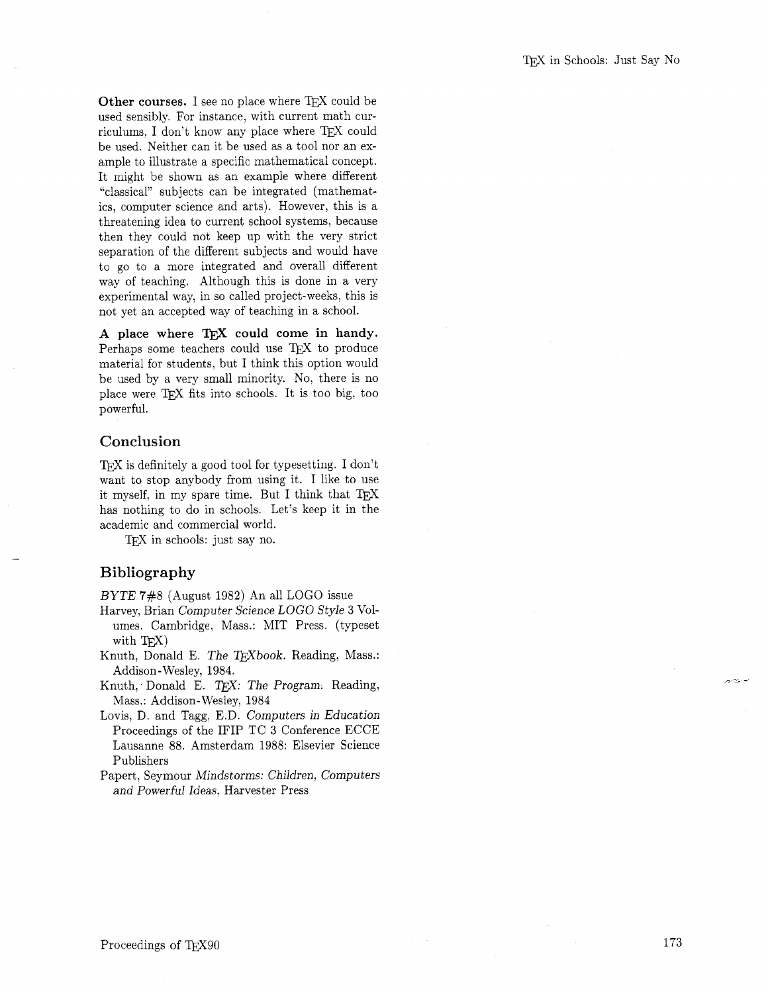Other courses. I see no place where T<sub>EX</sub> could be used sensibly. For instance; with current math curriculums, I don't know any place where TFX could be used. Neither can it be used as a tool nor an example to illustrate a specific mathematical concept. It might be shown as an example where different "classical" subjects can be integrated (mathematics, computer science and arts). However, this is a threatening idea to current school systems, because then they could not keep up with the very strict separation of the different subjects and would have to go to a more integrated and overall different way of teaching. Although this is done in a very experimental way, in so called project-weeks, this is not yet an accepted way of teaching in a school.

A place where TFX could come in handy. Perhaps some teachers could use TFX to produce material for students, but I think this option would be used by a very small minority. No, there is no place were TEX fits into schools. It is too big, too powerful.

### **Conclusion**

 $T_{\rm F}$  is definitely a good tool for type setting. I don't want to stop anybody from using it. I like to use it myself, in my spare time. But I think that has nothing to do in schools. Let's keep it in the academic and commercial world.

TFX in schools: just say no.

# **Bibliography**

BYTE 7#8 (August 1982) An all LOGO issue

- Harvey, Brian Computer Science LOGO Style **3** Volumes. Cambridge, Mass.: MIT Press. (typeset with T<sub>E</sub>X)
- Knuth, Donald E. The TEXbook. Reading, Mass.: Addison- Wesley, 1984.
- Knuth, Donald E. TrX: The Program. Reading. Mass.: Addison-Wesley, 1984
- Lovis. D, and Tagg, E.D. Computers in Education Proceedings of the IFIP TC **3** Conference ECCE Lausanne 88. Amsterdam 1988: Elsevier Science Publishers
- Papert. Seymour Mindstorms: Children, Computers and Powerful Ideas, Harvester Press

والمناسبين